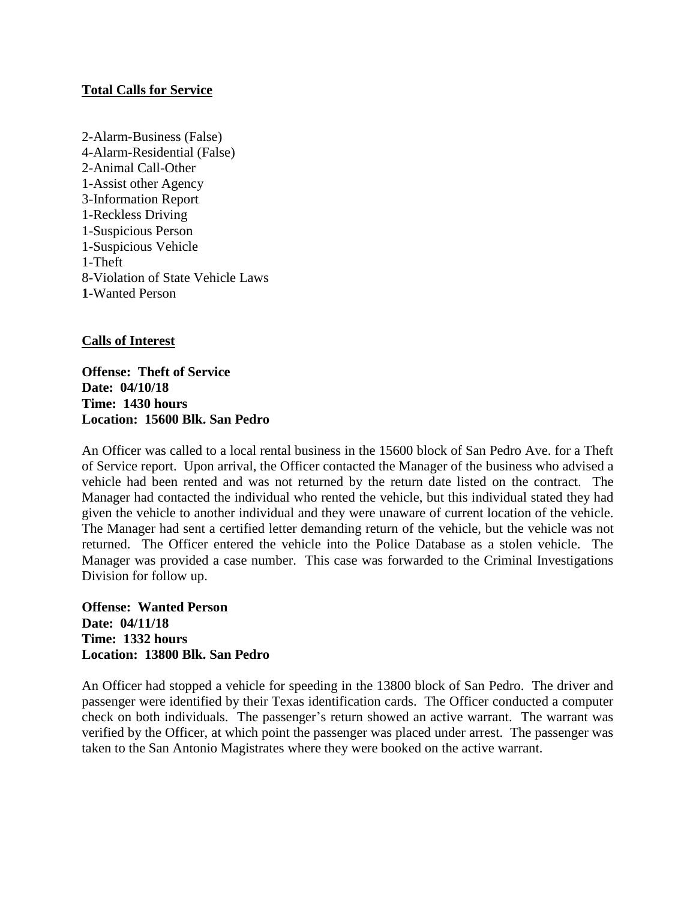## **Total Calls for Service**

2-Alarm-Business (False) 4-Alarm-Residential (False) 2-Animal Call-Other 1-Assist other Agency 3-Information Report 1-Reckless Driving 1-Suspicious Person 1-Suspicious Vehicle 1-Theft 8-Violation of State Vehicle Laws **1-**Wanted Person

## **Calls of Interest**

**Offense: Theft of Service Date: 04/10/18 Time: 1430 hours Location: 15600 Blk. San Pedro**

An Officer was called to a local rental business in the 15600 block of San Pedro Ave. for a Theft of Service report. Upon arrival, the Officer contacted the Manager of the business who advised a vehicle had been rented and was not returned by the return date listed on the contract. The Manager had contacted the individual who rented the vehicle, but this individual stated they had given the vehicle to another individual and they were unaware of current location of the vehicle. The Manager had sent a certified letter demanding return of the vehicle, but the vehicle was not returned. The Officer entered the vehicle into the Police Database as a stolen vehicle. The Manager was provided a case number. This case was forwarded to the Criminal Investigations Division for follow up.

**Offense: Wanted Person Date: 04/11/18 Time: 1332 hours Location: 13800 Blk. San Pedro**

An Officer had stopped a vehicle for speeding in the 13800 block of San Pedro. The driver and passenger were identified by their Texas identification cards. The Officer conducted a computer check on both individuals. The passenger's return showed an active warrant. The warrant was verified by the Officer, at which point the passenger was placed under arrest. The passenger was taken to the San Antonio Magistrates where they were booked on the active warrant.